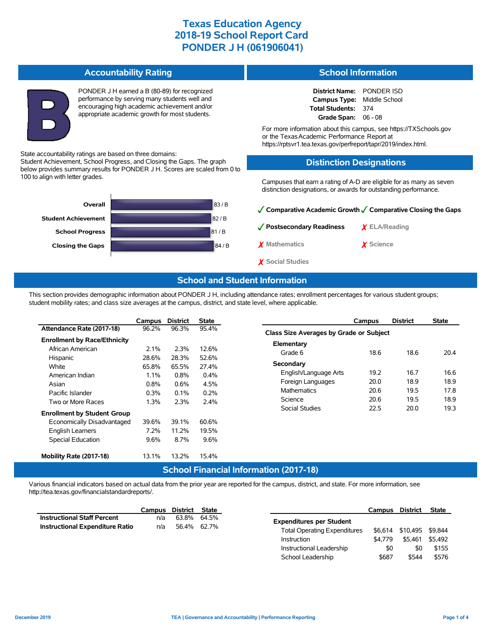**Accountability Rating** PONDER J H earned a B (80-89) for recognized performance by serving many students well and encouraging high academic achievement and/or appropriate academic growth for most students. State accountability ratings are based on three domains: Student Achievement, School Progress, and Closing the Gaps. The graph below provides summary results for PONDER J H. Scores are scaled from 0 to 100 to align with letter grades. 83 / B 82 / B 81 / B **Closing the Gaps 84/B School Progress Student Achievement Overall School Information District Name:** PONDER ISD **Campus Type:** Middle School **Total Students:** 374 **Grade Span:** 06 - 08 For more information about this campus, see https://TXSchools.gov or the Texas Academic Performance Report at https://rptsvr1.tea.texas.gov/perfreport/tapr/2019/index.html. **Distinction Designations** Campuses that earn a rating of A-D are eligible for as many as seven distinction designations, or awards for outstanding performance. ✓**Comparative Academic Growth**✓**Comparative Closing the Gaps** ✓**Postsecondary Readiness** ✗ **ELA/Reading** ✗ **Mathematics** ✗ **Science**

### **School and Student Information**

✗ **Social Studies**

This section provides demographic information about PONDER J H, including attendance rates; enrollment percentages for various student groups; student mobility rates; and class size averages at the campus, district, and state level, where applicable.

|                                     | Campus  | <b>District</b> | <b>State</b> |
|-------------------------------------|---------|-----------------|--------------|
| Attendance Rate (2017-18)           | 96.2%   | 96.3%           | 95.4%        |
| <b>Enrollment by Race/Ethnicity</b> |         |                 |              |
| African American                    | $2.1\%$ | 2.3%            | 12.6%        |
| Hispanic                            | 28.6%   | 28.3%           | 52.6%        |
| White                               | 65.8%   | 65.5%           | 27.4%        |
| American Indian                     | $1.1\%$ | $0.8\%$         | $0.4\%$      |
| Asian                               | $0.8\%$ | $0.6\%$         | 4.5%         |
| Pacific Islander                    | $0.3\%$ | $0.1\%$         | $0.2\%$      |
| Two or More Races                   | 1.3%    | 2.3%            | 2.4%         |
| <b>Enrollment by Student Group</b>  |         |                 |              |
| Economically Disadvantaged          | 39.6%   | 39.1%           | 60.6%        |
| <b>English Learners</b>             | 7.2%    | 11.2%           | 19.5%        |
| Special Education                   | 9.6%    | 8.7%            | 9.6%         |
| Mobility Rate (2017-18)             | 13.1%   | 13.2%           | 15.4%        |
|                                     |         | School Einanci  |              |

|                                         | Campus | <b>District</b> | <b>State</b> |  |  |  |  |  |  |
|-----------------------------------------|--------|-----------------|--------------|--|--|--|--|--|--|
| Class Size Averages by Grade or Subject |        |                 |              |  |  |  |  |  |  |
| Elementary                              |        |                 |              |  |  |  |  |  |  |
| Grade 6                                 | 18.6   | 18.6            | 204          |  |  |  |  |  |  |
| Secondary                               |        |                 |              |  |  |  |  |  |  |
| English/Language Arts                   | 19.2   | 167             | 166          |  |  |  |  |  |  |
| Foreign Languages                       | 20.0   | 189             | 18.9         |  |  |  |  |  |  |
| <b>Mathematics</b>                      | 20.6   | 19.5            | 178          |  |  |  |  |  |  |
| Science                                 | 20.6   | 19.5            | 189          |  |  |  |  |  |  |
| Social Studies                          | 22.5   | 20 O            | 19.3         |  |  |  |  |  |  |
|                                         |        |                 |              |  |  |  |  |  |  |

### **School Financial Information (2017-18)**

Various financial indicators based on actual data from the prior year are reported for the campus, district, and state. For more information, see http://tea.texas.gov/financialstandardreports/.

|                                        | Campus      | District                                           | State |                                 | Campus   | <b>District</b> | <b>State</b> |
|----------------------------------------|-------------|----------------------------------------------------|-------|---------------------------------|----------|-----------------|--------------|
| <b>Instructional Staff Percent</b>     | n/a         | 63.8%                                              | 64.5% | <b>Expenditures per Student</b> |          |                 |              |
| <b>Instructional Expenditure Ratio</b> | n/a         | 56.4% 62.7%<br><b>Total Operating Expenditures</b> |       | \$6.614                         | \$10.495 | \$9.844         |              |
|                                        | Instruction |                                                    |       | \$4.779                         | \$5.461  | \$5.492         |              |
|                                        |             |                                                    |       | Instructional Leadership        | \$0      | \$0             | \$155        |
|                                        |             |                                                    |       | School Leadership               | \$687    | \$544           | \$576        |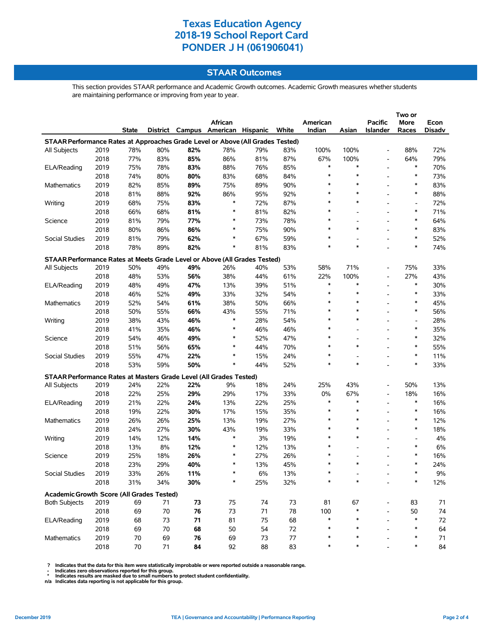### **STAAR Outcomes**

This section provides STAAR performance and Academic Growth outcomes. Academic Growth measures whether students are maintaining performance or improving from year to year.

|                                                                                |      |       |     |     |                                   |       |       |          |                          | Two or                   |                          |        |  |
|--------------------------------------------------------------------------------|------|-------|-----|-----|-----------------------------------|-------|-------|----------|--------------------------|--------------------------|--------------------------|--------|--|
|                                                                                |      |       |     |     | African                           |       |       | American |                          | <b>Pacific</b>           | More                     | Econ   |  |
|                                                                                |      | State |     |     | District Campus American Hispanic |       | White | Indian   | Asian                    | <b>Islander</b>          | Races                    | Disadv |  |
| STAAR Performance Rates at Approaches Grade Level or Above (All Grades Tested) |      |       |     |     |                                   |       |       |          |                          |                          |                          |        |  |
| All Subjects                                                                   | 2019 | 78%   | 80% | 82% | 78%                               | 79%   | 83%   | 100%     | 100%                     |                          | 88%                      | 72%    |  |
|                                                                                | 2018 | 77%   | 83% | 85% | 86%                               | 81%   | 87%   | 67%      | 100%                     | $\overline{\phantom{a}}$ | 64%                      | 79%    |  |
| ELA/Reading                                                                    | 2019 | 75%   | 78% | 83% | 88%                               | 76%   | 85%   | *        | *                        | $\overline{\phantom{a}}$ | *                        | 70%    |  |
|                                                                                | 2018 | 74%   | 80% | 80% | 83%                               | 68%   | 84%   | *        | $\ast$                   |                          | ∗                        | 73%    |  |
| Mathematics                                                                    | 2019 | 82%   | 85% | 89% | 75%                               | 89%   | 90%   | $\ast$   | $\ast$                   |                          | $\ast$                   | 83%    |  |
|                                                                                | 2018 | 81%   | 88% | 92% | 86%                               | 95%   | 92%   | $\ast$   | $\ast$                   |                          | $\ast$                   | 88%    |  |
| Writing                                                                        | 2019 | 68%   | 75% | 83% | $\ast$                            | 72%   | 87%   | $\ast$   | $\ast$                   |                          |                          | 72%    |  |
|                                                                                | 2018 | 66%   | 68% | 81% | $\ast$                            | 81%   | 82%   | $\ast$   |                          |                          | $\ast$                   | 71%    |  |
| Science                                                                        | 2019 | 81%   | 79% | 77% | $\ast$                            | 73%   | 78%   | $\ast$   | $\overline{\phantom{0}}$ |                          | *                        | 64%    |  |
|                                                                                | 2018 | 80%   | 86% | 86% | $\ast$                            | 75%   | 90%   | $\ast$   | *                        |                          | $\ast$                   | 83%    |  |
| Social Studies                                                                 | 2019 | 81%   | 79% | 62% | $\ast$                            | 67%   | 59%   | ∗        |                          |                          | $\ast$                   | 52%    |  |
|                                                                                | 2018 | 78%   | 89% | 82% | $\ast$                            | 81%   | 83%   | $\ast$   | $\ast$                   |                          | $\ast$                   | 74%    |  |
|                                                                                |      |       |     |     |                                   |       |       |          |                          |                          |                          |        |  |
| STAAR Performance Rates at Meets Grade Level or Above (All Grades Tested)      |      |       |     |     |                                   |       |       |          |                          |                          |                          |        |  |
| All Subjects                                                                   | 2019 | 50%   | 49% | 49% | 26%                               | 40%   | 53%   | 58%      | 71%                      |                          | 75%                      | 33%    |  |
|                                                                                | 2018 | 48%   | 53% | 56% | 38%                               | 44%   | 61%   | 22%      | 100%                     | $\overline{\phantom{a}}$ | 27%                      | 43%    |  |
| ELA/Reading                                                                    | 2019 | 48%   | 49% | 47% | 13%                               | 39%   | 51%   | $\ast$   | *                        |                          | $\ast$                   | 30%    |  |
|                                                                                | 2018 | 46%   | 52% | 49% | 33%                               | 32%   | 54%   | $\ast$   | $\ast$                   |                          | $\ast$                   | 33%    |  |
| Mathematics                                                                    | 2019 | 52%   | 54% | 61% | 38%                               | 50%   | 66%   | $\ast$   | $\ast$                   |                          | *                        | 45%    |  |
|                                                                                | 2018 | 50%   | 55% | 66% | 43%                               | 55%   | 71%   | $\ast$   | *                        |                          | $\ast$                   | 56%    |  |
| Writing                                                                        | 2019 | 38%   | 43% | 46% | $\ast$                            | 28%   | 54%   | $\ast$   | $\ast$                   |                          | $\overline{\phantom{a}}$ | 28%    |  |
|                                                                                | 2018 | 41%   | 35% | 46% | $\ast$                            | 46%   | 46%   | $\ast$   |                          |                          | *                        | 35%    |  |
| Science                                                                        | 2019 | 54%   | 46% | 49% | $\ast$                            | 52%   | 47%   | $\ast$   |                          | $\overline{\phantom{0}}$ | $\ast$                   | 32%    |  |
|                                                                                | 2018 | 51%   | 56% | 65% | $\ast$                            | 44%   | 70%   | $\ast$   | $\ast$                   |                          | $\ast$                   | 55%    |  |
| Social Studies                                                                 | 2019 | 55%   | 47% | 22% | $\ast$                            | 15%   | 24%   | $\ast$   |                          |                          | *                        | 11%    |  |
|                                                                                | 2018 | 53%   | 59% | 50% | $\ast$                            | 44%   | 52%   | $\ast$   | $\ast$                   |                          | $\ast$                   | 33%    |  |
| STAAR Performance Rates at Masters Grade Level (All Grades Tested)             |      |       |     |     |                                   |       |       |          |                          |                          |                          |        |  |
| All Subjects                                                                   | 2019 | 24%   | 22% | 22% | 9%                                | 18%   | 24%   | 25%      | 43%                      |                          | 50%                      | 13%    |  |
|                                                                                | 2018 | 22%   | 25% | 29% | 29%                               | 17%   | 33%   | 0%       | 67%                      | $\overline{\phantom{a}}$ | 18%                      | 16%    |  |
| ELA/Reading                                                                    | 2019 | 21%   | 22% | 24% | 13%                               | 22%   | 25%   | $\ast$   | $\ast$                   |                          | $\ast$                   | 16%    |  |
|                                                                                | 2018 | 19%   | 22% | 30% | 17%                               | 15%   | 35%   | $\ast$   | $\ast$                   |                          | ∗                        | 16%    |  |
| Mathematics                                                                    | 2019 | 26%   | 26% | 25% | 13%                               | 19%   | 27%   | $\ast$   | $\ast$                   |                          | $\ast$                   | 12%    |  |
|                                                                                | 2018 | 24%   | 27% | 30% | 43%                               | 19%   | 33%   | $\ast$   | $\ast$                   |                          | *                        | 18%    |  |
| Writing                                                                        | 2019 | 14%   | 12% | 14% | $\ast$                            | 3%    | 19%   | $\ast$   | $\ast$                   |                          |                          | 4%     |  |
|                                                                                | 2018 | 13%   | 8%  | 12% | $\ast$                            | 12%   | 13%   | $\ast$   |                          |                          | $\ast$                   | 6%     |  |
| Science                                                                        | 2019 | 25%   | 18% | 26% | ∗                                 | 27%   | 26%   |          |                          |                          | *                        | 16%    |  |
|                                                                                | 2018 | 23%   | 29% | 40% | $\ast$                            | 13%   | 45%   | $\ast$   | $\ast$                   |                          | $\ast$                   | 24%    |  |
| Social Studies                                                                 | 2019 | 33%   | 26% | 11% |                                   | $6\%$ | 13%   |          |                          |                          |                          | $9\%$  |  |
|                                                                                | 2018 | 31%   | 34% | 30% | *                                 | 25%   | 32%   |          | $\ast$                   |                          | ∗                        | 12%    |  |
|                                                                                |      |       |     |     |                                   |       |       |          |                          |                          |                          |        |  |
| Academic Growth Score (All Grades Tested)                                      |      |       |     |     |                                   |       |       |          |                          |                          |                          |        |  |
| <b>Both Subjects</b>                                                           | 2019 | 69    | 71  | 73  | 75                                | 74    | 73    | 81       | 67                       |                          | 83                       | 71     |  |
|                                                                                | 2018 | 69    | 70  | 76  | 73                                | 71    | 78    | 100      |                          |                          | 50                       | 74     |  |
| ELA/Reading                                                                    | 2019 | 68    | 73  | 71  | 81                                | 75    | 68    | ∗        |                          |                          | $\ast$                   | 72     |  |
|                                                                                | 2018 | 69    | 70  | 68  | 50                                | 54    | 72    | ∗        |                          |                          | ∗                        | 64     |  |
| Mathematics                                                                    | 2019 | 70    | 69  | 76  | 69                                | 73    | 77    |          |                          |                          | ∗                        | 71     |  |
|                                                                                | 2018 | 70    | 71  | 84  | 92                                | 88    | 83    |          |                          |                          | *                        | 84     |  |

? Indicates that the data for this item were statistically improbable or were reported outside a reasonable range.<br>- Indicates zero observations reported for this group.<br>\* Indicates results are masked due to small numbers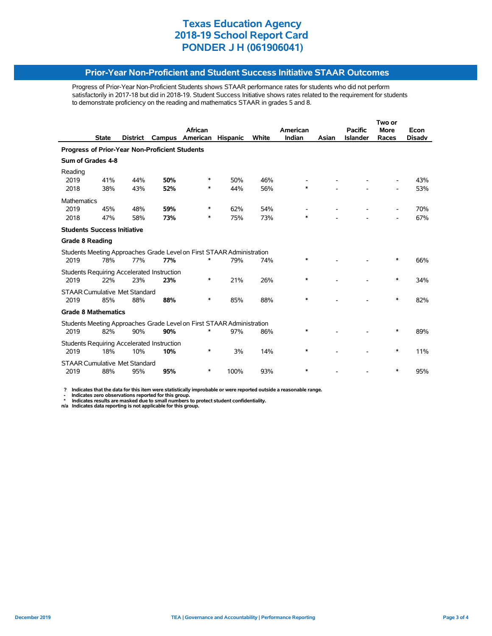#### **Prior-Year Non-Proficient and Student Success Initiative STAAR Outcomes**

Progress of Prior-Year Non-Proficient Students shows STAAR performance rates for students who did not perform satisfactorily in 2017-18 but did in 2018-19. Student Success Initiative shows rates related to the requirement for students to demonstrate proficiency on the reading and mathematics STAAR in grades 5 and 8.

|                                                |              |                 |                                            |                                                                       |                 |       |          | Two or |                 |                          |               |  |
|------------------------------------------------|--------------|-----------------|--------------------------------------------|-----------------------------------------------------------------------|-----------------|-------|----------|--------|-----------------|--------------------------|---------------|--|
|                                                |              |                 |                                            | African                                                               |                 |       | American |        | <b>Pacific</b>  | <b>More</b>              | Econ          |  |
|                                                | <b>State</b> | <b>District</b> |                                            | Campus American                                                       | <b>Hispanic</b> | White | Indian   | Asian  | <b>Islander</b> | Races                    | <b>Disadv</b> |  |
| Progress of Prior-Year Non-Proficient Students |              |                 |                                            |                                                                       |                 |       |          |        |                 |                          |               |  |
| Sum of Grades 4-8                              |              |                 |                                            |                                                                       |                 |       |          |        |                 |                          |               |  |
| Reading                                        |              |                 |                                            |                                                                       |                 |       |          |        |                 |                          |               |  |
| 2019                                           | 41%          | 44%             | 50%                                        | ∗                                                                     | 50%             | 46%   |          |        |                 |                          | 43%           |  |
| 2018                                           | 38%          | 43%             | 52%                                        | ∗                                                                     | 44%             | 56%   | $\ast$   |        |                 |                          | 53%           |  |
| <b>Mathematics</b>                             |              |                 |                                            |                                                                       |                 |       |          |        |                 |                          |               |  |
| 2019                                           | 45%          | 48%             | 59%                                        | *                                                                     | 62%             | 54%   |          |        |                 |                          | 70%           |  |
| 2018                                           | 47%          | 58%             | 73%                                        | ∗                                                                     | 75%             | 73%   | $\ast$   |        |                 | $\overline{\phantom{a}}$ | 67%           |  |
| <b>Students Success Initiative</b>             |              |                 |                                            |                                                                       |                 |       |          |        |                 |                          |               |  |
| <b>Grade 8 Reading</b>                         |              |                 |                                            |                                                                       |                 |       |          |        |                 |                          |               |  |
|                                                |              |                 |                                            | Students Meeting Approaches Grade Level on First STAAR Administration |                 |       |          |        |                 |                          |               |  |
| 2019                                           | 78%          | 77%             | 77%                                        | ∗                                                                     | 79%             | 74%   | *        |        |                 | *                        | 66%           |  |
|                                                |              |                 | Students Requiring Accelerated Instruction |                                                                       |                 |       |          |        |                 |                          |               |  |
| 2019                                           | 22%          | 23%             | 23%                                        | ∗                                                                     | 21%             | 26%   | $\ast$   |        |                 | $\ast$                   | 34%           |  |
| <b>STAAR Cumulative Met Standard</b>           |              |                 |                                            |                                                                       |                 |       |          |        |                 |                          |               |  |
| 2019                                           | 85%          | 88%             | 88%                                        | ∗                                                                     | 85%             | 88%   | $\ast$   |        |                 | ∗                        | 82%           |  |
| <b>Grade 8 Mathematics</b>                     |              |                 |                                            |                                                                       |                 |       |          |        |                 |                          |               |  |
|                                                |              |                 |                                            | Students Meeting Approaches Grade Level on First STAAR Administration |                 |       |          |        |                 |                          |               |  |
| 2019                                           | 82%          | 90%             | 90%                                        |                                                                       | 97%             | 86%   | *        |        |                 | ∗                        | 89%           |  |
| Students Requiring Accelerated Instruction     |              |                 |                                            |                                                                       |                 |       |          |        |                 |                          |               |  |
| 2019                                           | 18%          | 10%             | 10%                                        | ∗                                                                     | 3%              | 14%   | *        |        |                 | ∗                        | 11%           |  |
| <b>STAAR Cumulative Met Standard</b>           |              |                 |                                            |                                                                       |                 |       |          |        |                 |                          |               |  |
| 2019                                           | 88%          | 95%             | 95%                                        | $\ast$                                                                | 100%            | 93%   | $\ast$   |        |                 | ∗                        | 95%           |  |

 **? Indicates that the data for this item were statistically improbable or were reported outside a reasonable range.**

- Indicates zero observations reported for this group.<br>\* Indicates results are masked due to small numbers to protect student confidentiality.<br>n/a Indicates data reporting is not applicable for this group.